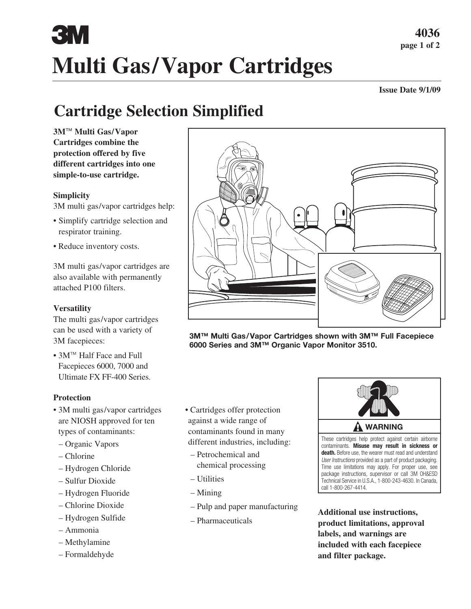# E TV **Multi Gas/Vapor Cartridges**

**Issue Date 9/1/09**

## **Cartridge Selection Simplified**

**3M**™ **Multi Gas/Vapor Cartridges combine the protection offered by five different cartridges into one simple-to-use cartridge.**

#### **Simplicity**

3M multi gas/vapor cartridges help:

- Simplify cartridge selection and respirator training.
- Reduce inventory costs.

3M multi gas/vapor cartridges are also available with permanently attached P100 filters.

#### **Versatility**

The multi gas/vapor cartridges can be used with a variety of 3M facepieces:

• 3M™ Half Face and Full Facepieces 6000, 7000 and Ultimate FX FF-400 Series.

#### **Protection**

- 3M multi gas/vapor cartridges are NIOSH approved for ten types of contaminants:
- Organic Vapors
- Chlorine
- Hydrogen Chloride
- Sulfur Dioxide
- Hydrogen Fluoride
- Chlorine Dioxide
- Hydrogen Sulfide
- Ammonia
- Methylamine
- Formaldehyde
- Cartridges offer protection against a wide range of contaminants found in many different industries, including:
	- Petrochemical and chemical processing
	- Utilities
	- Mining
	- Pulp and paper manufacturing
	- Pharmaceuticals



contaminants. **Misuse may result in sickness or death.** Before use, the wearer must read and understand *User Instructions* provided as a part of product packaging. Time use limitations may apply. For proper use, see package instructions, supervisor or call 3M OH&ESD Technical Service in U.S.A., 1-800-243-4630. In Canada, call 1-800-267-4414.

**Additional use instructions, product limitations, approval labels, and warnings are included with each facepiece and filter package.**

**3M™ Multi Gas/Vapor Cartridges shown with 3M™ Full Facepiece 6000 Series and 3M™ Organic Vapor Monitor 3510.**